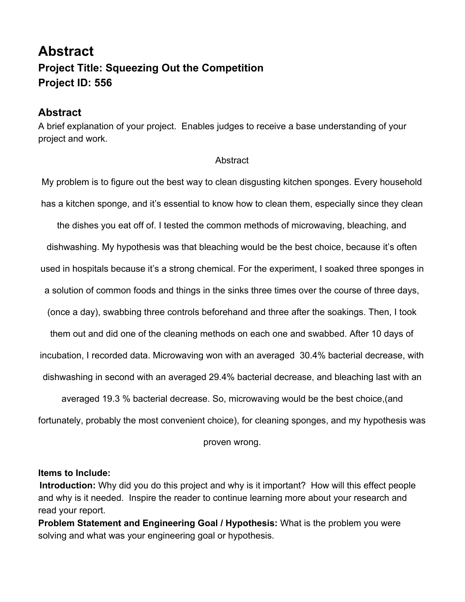## **Abstract Project Title: Squeezing Out the Competition Project ID: 556**

## **Abstract**

A brief explanation of your project. Enables judges to receive a base understanding of your project and work.

## **Abstract**

My problem is to figure out the best way to clean disgusting kitchen sponges. Every household has a kitchen sponge, and it's essential to know how to clean them, especially since they clean the dishes you eat off of. I tested the common methods of microwaving, bleaching, and dishwashing. My hypothesis was that bleaching would be the best choice, because it's often used in hospitals because it's a strong chemical. For the experiment, I soaked three sponges in a solution of common foods and things in the sinks three times over the course of three days, (once a day), swabbing three controls beforehand and three after the soakings. Then, I took them out and did one of the cleaning methods on each one and swabbed. After 10 days of incubation, I recorded data. Microwaving won with an averaged 30.4% bacterial decrease, with dishwashing in second with an averaged 29.4% bacterial decrease, and bleaching last with an averaged 19.3 % bacterial decrease. So, microwaving would be the best choice,(and

fortunately, probably the most convenient choice), for cleaning sponges, and my hypothesis was

proven wrong.

## **Items to Include:**

**Introduction:** Why did you do this project and why is it important? How will this effect people and why is it needed. Inspire the reader to continue learning more about your research and read your report.

**Problem Statement and Engineering Goal / Hypothesis:** What is the problem you were solving and what was your engineering goal or hypothesis.